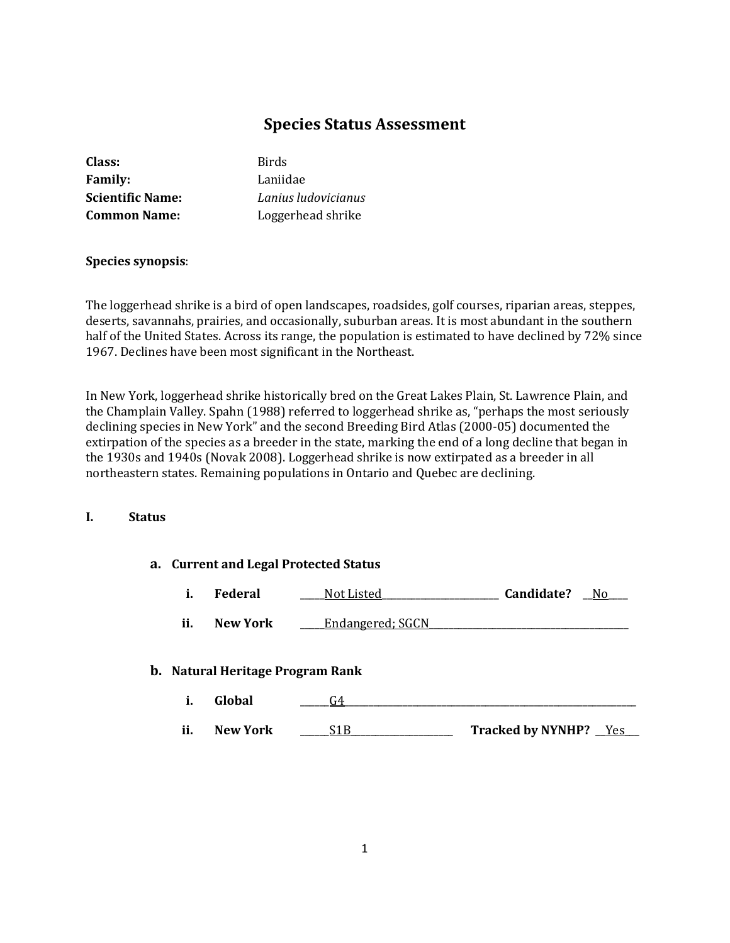# **Species Status Assessment**

| Class:                  | <b>Birds</b>        |
|-------------------------|---------------------|
| <b>Family:</b>          | Laniidae            |
| <b>Scientific Name:</b> | Lanius ludovicianus |
| <b>Common Name:</b>     | Loggerhead shrike   |
|                         |                     |

## **Species synopsis**:

The loggerhead shrike is a bird of open landscapes, roadsides, golf courses, riparian areas, steppes, deserts, savannahs, prairies, and occasionally, suburban areas. It is most abundant in the southern half of the United States. Across its range, the population is estimated to have declined by 72% since 1967. Declines have been most significant in the Northeast.

In New York, loggerhead shrike historically bred on the Great Lakes Plain, St. Lawrence Plain, and the Champlain Valley. Spahn (1988) referred to loggerhead shrike as, "perhaps the most seriously declining species in New York" and the second Breeding Bird Atlas (2000-05) documented the extirpation of the species as a breeder in the state, marking the end of a long decline that began in the 1930s and 1940s (Novak 2008). Loggerhead shrike is now extirpated as a breeder in all northeastern states. Remaining populations in Ontario and Quebec are declining.

## **I. Status**

## **a. Current and Legal Protected Status**

| ı. | Federal | Not Listed | Candidate? | N <sub>0</sub> |  |
|----|---------|------------|------------|----------------|--|
|----|---------|------------|------------|----------------|--|

**ii.** New York **Lea** Endangered; SGCN

## **b. Natural Heritage Program Rank**

**i. Global** \_\_\_\_\_\_G4\_\_\_\_\_\_\_\_\_\_\_\_\_\_\_\_\_\_\_\_\_\_\_\_\_\_\_\_\_\_\_\_\_\_\_\_\_\_\_\_\_\_\_\_\_\_\_\_\_\_\_\_\_\_\_\_\_\_\_\_ **ii. New York** \_\_\_\_\_\_S1B\_\_\_\_\_\_\_\_\_\_\_\_\_\_\_\_\_\_\_\_\_ **Tracked by NYNHP?** \_\_Yes\_\_\_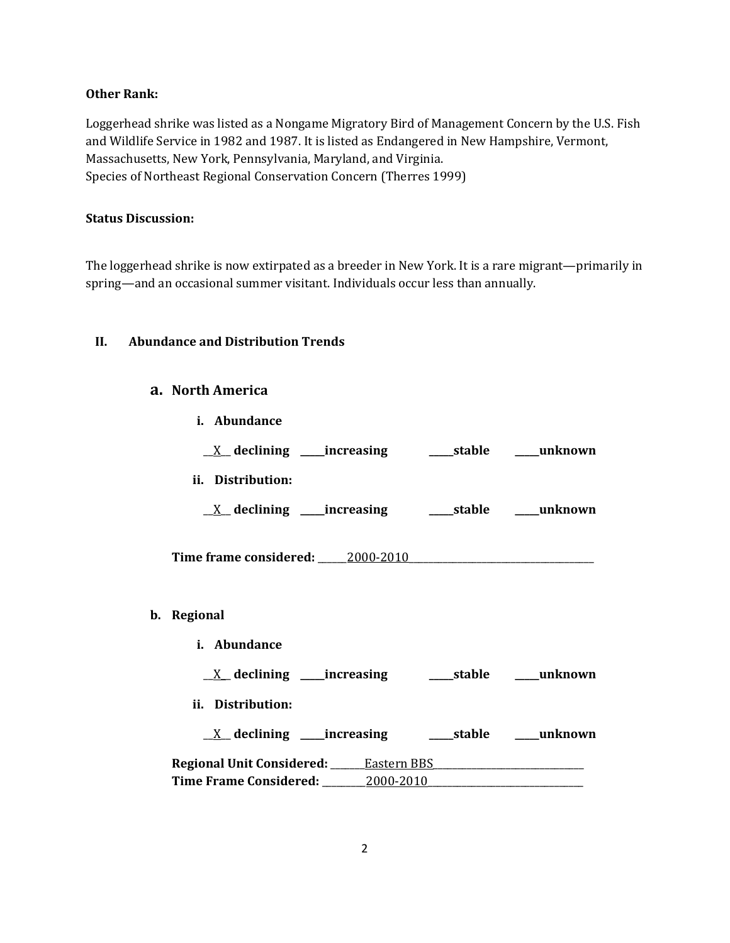## **Other Rank:**

Loggerhead shrike was listed as a Nongame Migratory Bird of Management Concern by the U.S. Fish and Wildlife Service in 1982 and 1987. It is listed as Endangered in New Hampshire, Vermont, Massachusetts, New York, Pennsylvania, Maryland, and Virginia. Species of Northeast Regional Conservation Concern (Therres 1999)

# **Status Discussion:**

The loggerhead shrike is now extirpated as a breeder in New York. It is a rare migrant—primarily in spring—and an occasional summer visitant. Individuals occur less than annually.

## **II. Abundance and Distribution Trends**

## **a. North America**

| i. Abundance                                                            |  |
|-------------------------------------------------------------------------|--|
|                                                                         |  |
| ii. Distribution:                                                       |  |
| $\underline{X}$ declining ____increasing __________stable ______unknown |  |
|                                                                         |  |
| b. Regional                                                             |  |
| i. Abundance                                                            |  |
|                                                                         |  |
| ii. Distribution:                                                       |  |
| <u>X</u> declining ____increasing _______stable _____unknown            |  |
|                                                                         |  |
| Time Frame Considered: 2000-2010                                        |  |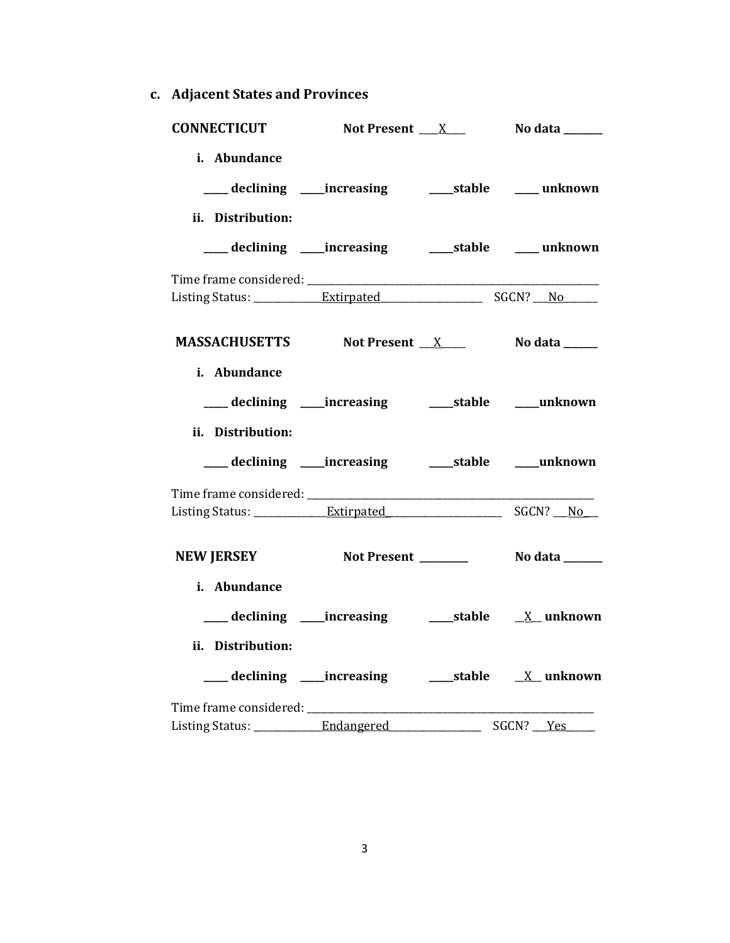**c. Adjacent States and Provinces**

| <b>CONNECTICUT</b>                       | Not Present ___X___                                      | No data _______ |
|------------------------------------------|----------------------------------------------------------|-----------------|
| i. Abundance<br>ii. Distribution:        | ___ declining ____ increasing _____ stable _____ unknown |                 |
|                                          | ___ declining ____increasing ______stable _____ unknown  |                 |
|                                          |                                                          |                 |
| MASSACHUSETTS Not Present X No data No.  |                                                          |                 |
| i. Abundance<br>ii. Distribution:        | ___ declining ___ increasing ____ stable ___ unknown     |                 |
|                                          | ___ declining ____increasing ______stable ____unknown    |                 |
|                                          |                                                          |                 |
| NEW JERSEY Not Present Notal Nodata      |                                                          |                 |
| i. Abundance<br>ii. Distribution:        | ___ declining ____increasing ______stable ___ X__unknown |                 |
|                                          |                                                          |                 |
| Listing Status: ______________Endangered |                                                          |                 |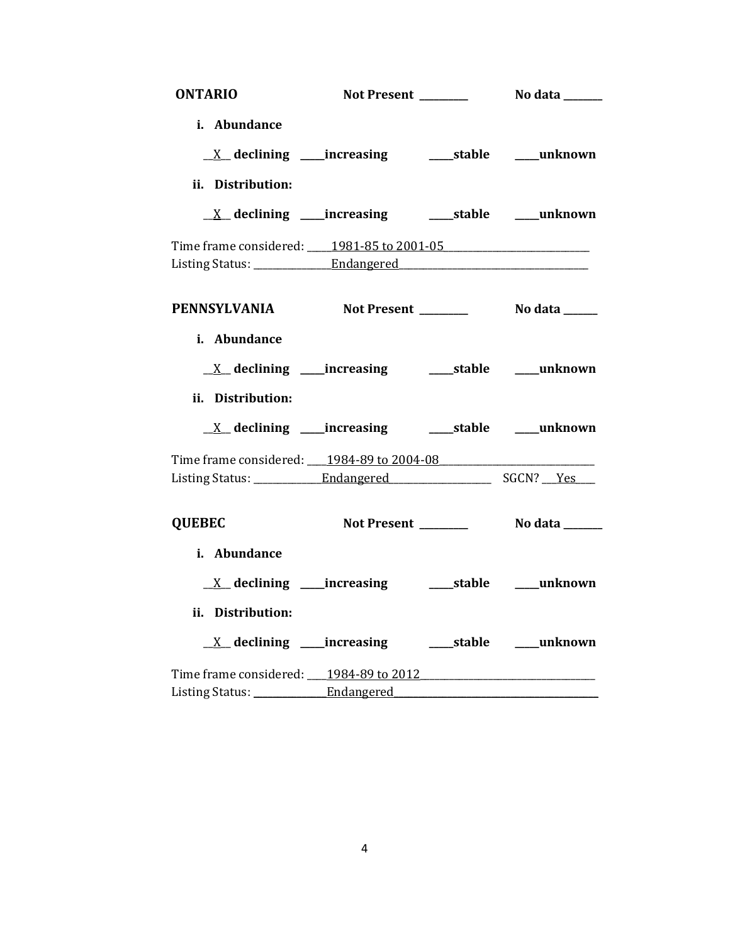| <b>ONTARIO</b>                                                  |                     |                       |
|-----------------------------------------------------------------|---------------------|-----------------------|
| i. Abundance                                                    |                     |                       |
| <u>X</u> declining ____increasing _______stable ____unknown     |                     |                       |
| ii. Distribution:                                               |                     |                       |
|                                                                 |                     |                       |
| Time frame considered: 1981-85 to 2001-05                       |                     |                       |
|                                                                 |                     |                       |
| PENNSYLVANIA Not Present ________ No data _____<br>i. Abundance |                     |                       |
|                                                                 |                     |                       |
| ii. Distribution:                                               |                     |                       |
| <u>X</u> declining ____increasing ______stable ____unknown      |                     |                       |
| Time frame considered: 1984-89 to 2004-08                       |                     |                       |
|                                                                 |                     |                       |
| <b>QUEBEC</b>                                                   | Not Present _______ | <b>No data</b> ______ |
| i. Abundance                                                    |                     |                       |
|                                                                 |                     |                       |
| ii. Distribution:                                               |                     |                       |
|                                                                 |                     |                       |
|                                                                 |                     |                       |
|                                                                 |                     |                       |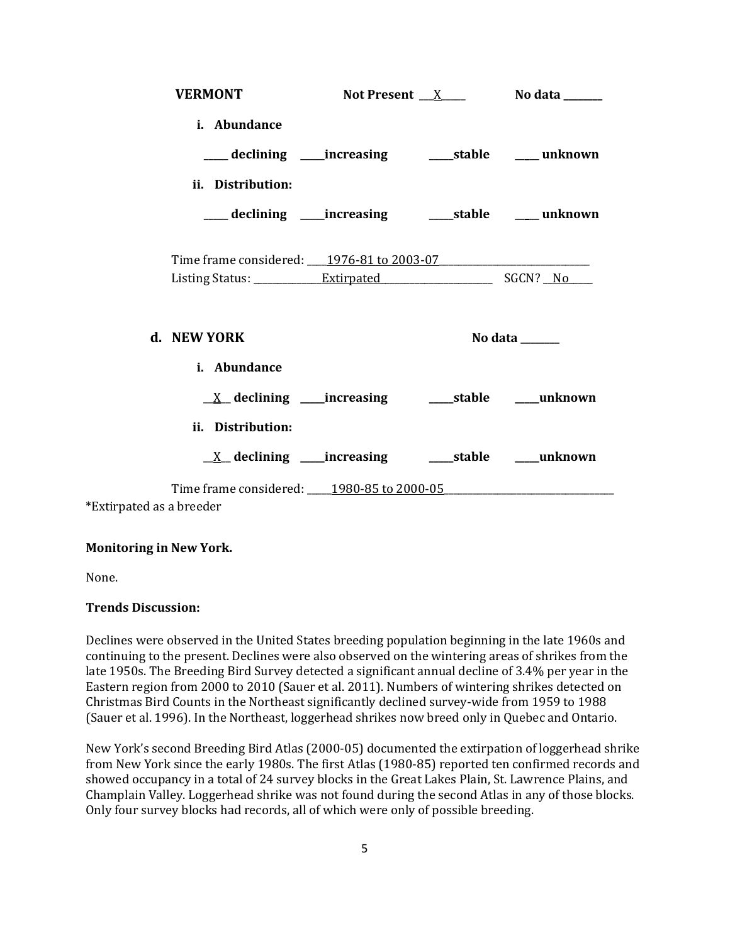| <b>VERMONT</b>                                                  |  | Not Present $X$ No data $X$         |
|-----------------------------------------------------------------|--|-------------------------------------|
| i. Abundance                                                    |  |                                     |
| ____ declining ____ increasing _____ stable ____ unknown        |  |                                     |
| ii. Distribution:                                               |  |                                     |
| ____ declining ____increasing ___________stable _______ unknown |  |                                     |
| Time frame considered: 1976-81 to 2003-07                       |  |                                     |
| d. NEW YORK                                                     |  | No data $\_\_\_\_\_\_\_\_\_\_\_\_\$ |
| i. Abundance                                                    |  |                                     |
|                                                                 |  |                                     |
| ii. Distribution:                                               |  |                                     |
|                                                                 |  |                                     |
| Time frame considered: 1980-85 to 2000-05                       |  |                                     |

\*Extirpated as a breeder

## **Monitoring in New York.**

None.

## **Trends Discussion:**

Declines were observed in the United States breeding population beginning in the late 1960s and continuing to the present. Declines were also observed on the wintering areas of shrikes from the late 1950s. The Breeding Bird Survey detected a significant annual decline of 3.4% per year in the Eastern region from 2000 to 2010 (Sauer et al. 2011). Numbers of wintering shrikes detected on Christmas Bird Counts in the Northeast significantly declined survey-wide from 1959 to 1988 (Sauer et al. 1996). In the Northeast, loggerhead shrikes now breed only in Quebec and Ontario.

New York's second Breeding Bird Atlas (2000-05) documented the extirpation of loggerhead shrike from New York since the early 1980s. The first Atlas (1980-85) reported ten confirmed records and showed occupancy in a total of 24 survey blocks in the Great Lakes Plain, St. Lawrence Plains, and Champlain Valley. Loggerhead shrike was not found during the second Atlas in any of those blocks. Only four survey blocks had records, all of which were only of possible breeding.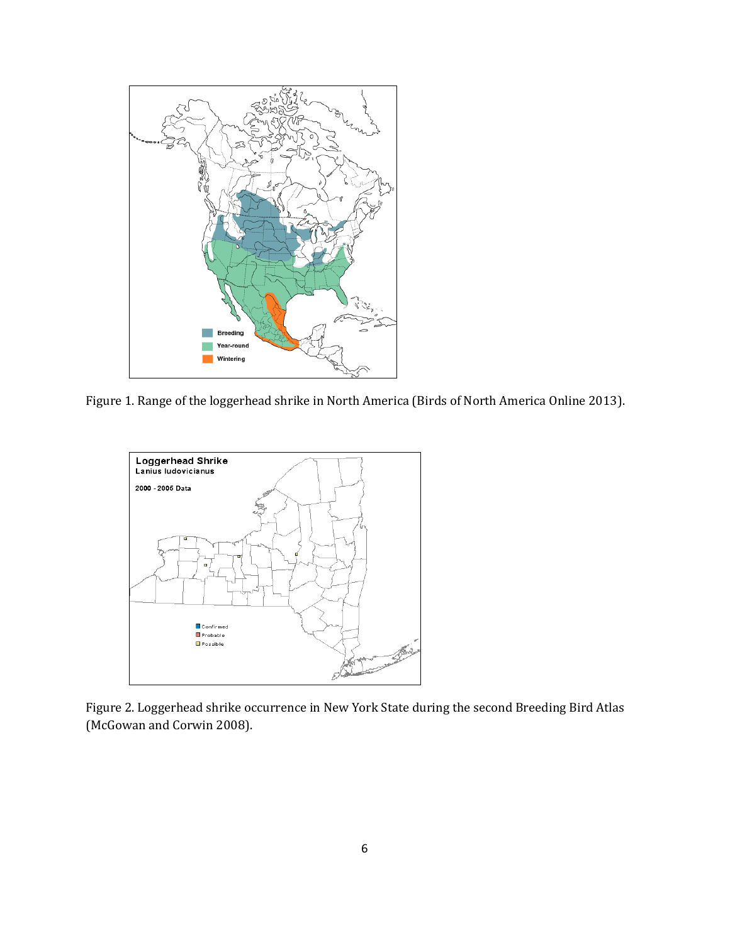

Figure 1. Range of the loggerhead shrike in North America (Birds of North America Online 2013).



Figure 2. Loggerhead shrike occurrence in New York State during the second Breeding Bird Atlas (McGowan and Corwin 2008).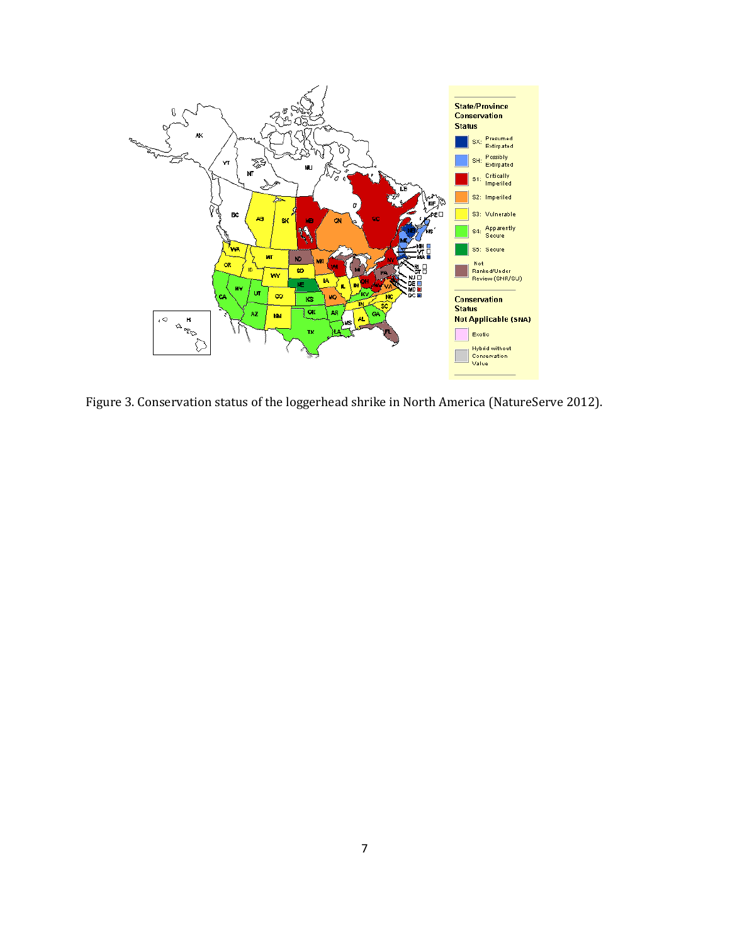

Figure 3. Conservation status of the loggerhead shrike in North America (NatureServe 2012).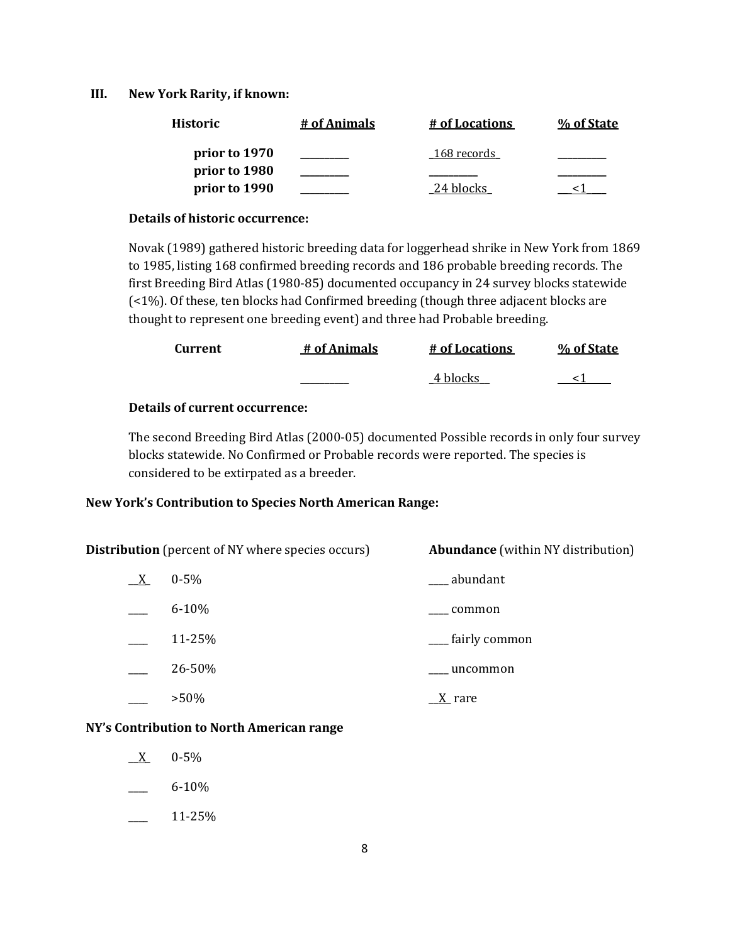### **III. New York Rarity, if known:**

| <b>Historic</b> | # of Animals | # of Locations | % of State |
|-----------------|--------------|----------------|------------|
| prior to 1970   |              | 168 records    |            |
| prior to 1980   |              |                |            |
| prior to 1990   |              | 24 blocks      |            |

#### **Details of historic occurrence:**

Novak (1989) gathered historic breeding data for loggerhead shrike in New York from 1869 to 1985, listing 168 confirmed breeding records and 186 probable breeding records. The first Breeding Bird Atlas (1980-85) documented occupancy in 24 survey blocks statewide (<1%). Of these, ten blocks had Confirmed breeding (though three adjacent blocks are thought to represent one breeding event) and three had Probable breeding.

| Current | # of Animals | # of Locations | % of State |
|---------|--------------|----------------|------------|
|         |              | 4 blocks       |            |

## **Details of current occurrence:**

The second Breeding Bird Atlas (2000-05) documented Possible records in only four survey blocks statewide. No Confirmed or Probable records were reported. The species is considered to be extirpated as a breeder.

## **New York's Contribution to Species North American Range:**

**Distribution** (percent of NY where species occurs) **Abundance** (within NY distribution)  $\underline{X}$  0-5%  $\underline{X}$  0-5%  $6-10\%$  common 11-25% \_\_\_\_ fairly common \_\_\_\_ 26-50% \_\_\_\_ uncommon

 $>50\%$   $\qquad \qquad \underline{X}$  rare

#### **NY's Contribution to North American range**

- $X = 0.5\%$
- $6 10\%$
- \_\_\_\_ 11-25%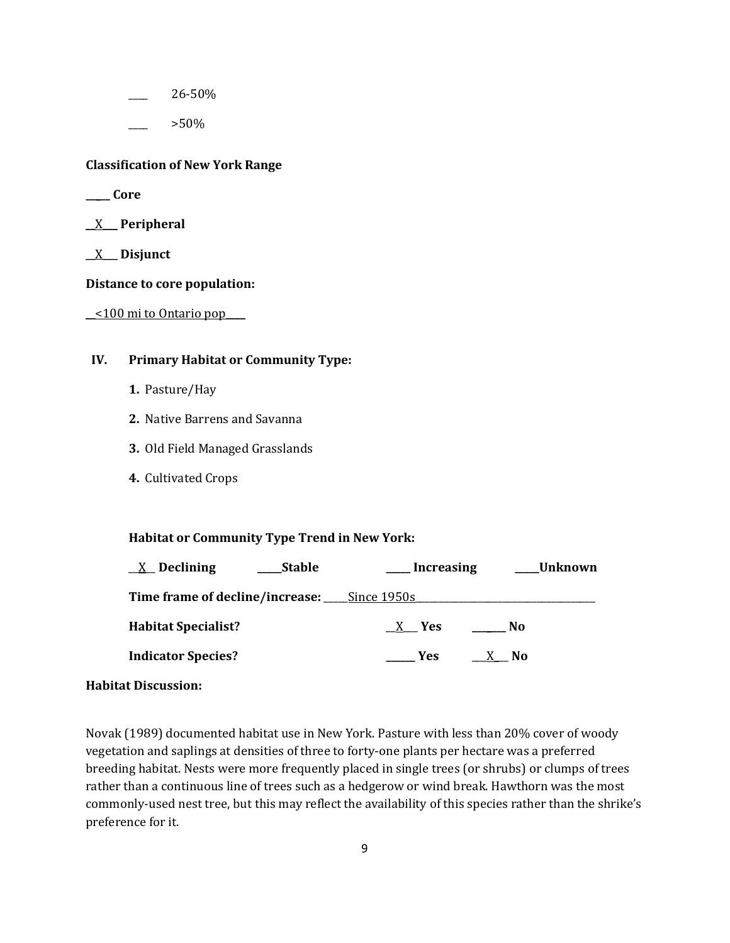\_\_\_\_ 26-50%

\_\_\_\_ >50%

#### **Classification of New York Range**

- **\_\_\_\_\_ Core**
- \_\_X\_\_\_ **Peripheral**
- \_\_X\_\_\_ **Disjunct**

#### **Distance to core population:**

 $\leq$  100 mi to Ontario pop

## **IV. Primary Habitat or Community Type:**

- **1.** Pasture/Hay
- **2.** Native Barrens and Savanna
- **3.** Old Field Managed Grasslands
- **4.** Cultivated Crops

#### **Habitat or Community Type Trend in New York:**

| $X$ Declining<br><b>Stable</b>              | <b>Increasing</b> | Unknown |
|---------------------------------------------|-------------------|---------|
| Time frame of decline/increase: Since 1950s |                   |         |
| <b>Habitat Specialist?</b>                  | X Yes             | No.     |
| <b>Indicator Species?</b>                   | Yes.              | X No    |

### **Habitat Discussion:**

Novak (1989) documented habitat use in New York. Pasture with less than 20% cover of woody vegetation and saplings at densities of three to forty-one plants per hectare was a preferred breeding habitat. Nests were more frequently placed in single trees (or shrubs) or clumps of trees rather than a continuous line of trees such as a hedgerow or wind break. Hawthorn was the most commonly-used nest tree, but this may reflect the availability of this species rather than the shrike's preference for it.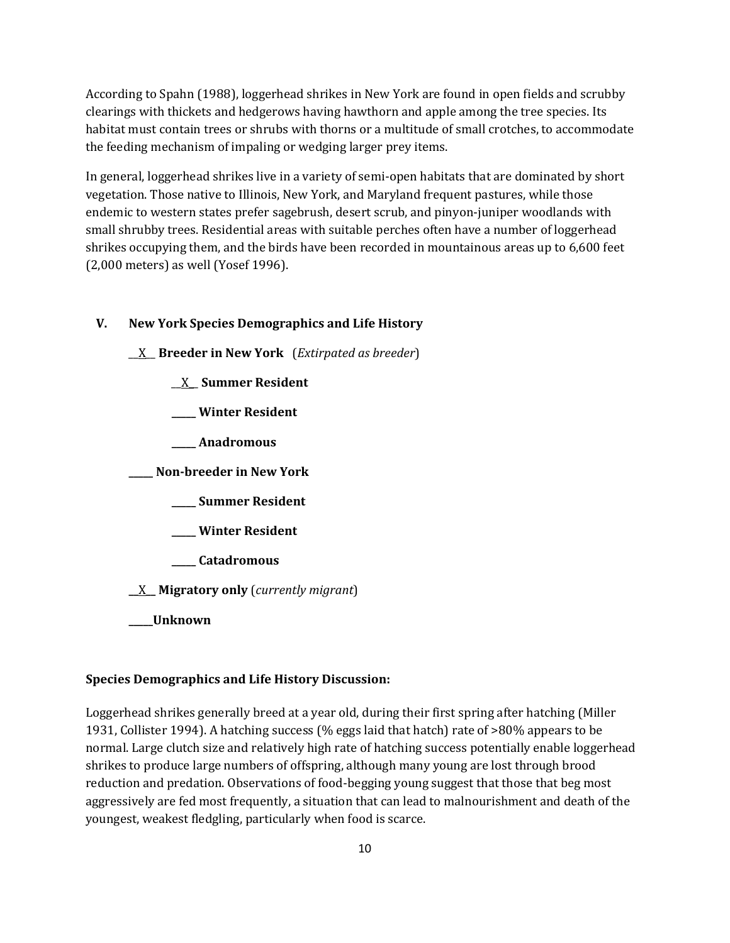According to Spahn (1988), loggerhead shrikes in New York are found in open fields and scrubby clearings with thickets and hedgerows having hawthorn and apple among the tree species. Its habitat must contain trees or shrubs with thorns or a multitude of small crotches, to accommodate the feeding mechanism of impaling or wedging larger prey items.

In general, loggerhead shrikes live in a variety of semi-open habitats that are dominated by short vegetation. Those native to Illinois, New York, and Maryland frequent pastures, while those endemic to western states prefer sagebrush, desert scrub, and pinyon-juniper woodlands with small shrubby trees. Residential areas with suitable perches often have a number of loggerhead shrikes occupying them, and the birds have been recorded in mountainous areas up to 6,600 feet (2,000 meters) as well (Yosef 1996).

## **V. New York Species Demographics and Life History**

\_\_X\_\_ **Breeder in New York** (*Extirpated as breeder*)

- \_\_X\_\_ **Summer Resident**
- **\_\_\_\_\_ Winter Resident**
- **\_\_\_\_\_ Anadromous**

**\_\_\_\_\_ Non-breeder in New York**

- **\_\_\_\_\_ Summer Resident**
- **\_\_\_\_\_ Winter Resident**
- **\_\_\_\_\_ Catadromous**

**\_\_**X**\_\_ Migratory only** (*currently migrant*)

**\_\_\_\_\_Unknown**

#### **Species Demographics and Life History Discussion:**

Loggerhead shrikes generally breed at a year old, during their first spring after hatching (Miller 1931, Collister 1994). A hatching success (% eggs laid that hatch) rate of >80% appears to be normal. Large clutch size and relatively high rate of hatching success potentially enable loggerhead shrikes to produce large numbers of offspring, although many young are lost through brood reduction and predation. Observations of food-begging young suggest that those that beg most aggressively are fed most frequently, a situation that can lead to malnourishment and death of the youngest, weakest fledgling, particularly when food is scarce.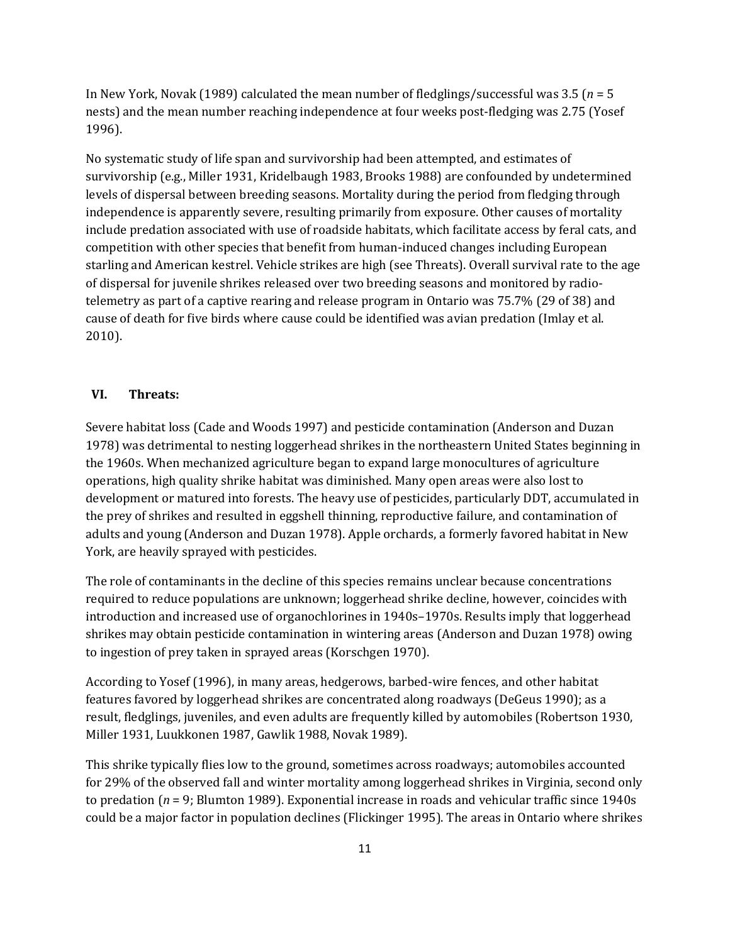In New York, Novak (1989) calculated the mean number of fledglings/successful was 3.5 (*n* = 5 nests) and the mean number reaching independence at four weeks post-fledging was 2.75 (Yosef 1996).

No systematic study of life span and survivorship had been attempted, and estimates of survivorship (e.g., Miller 1931, Kridelbaugh 1983, Brooks 1988) are confounded by undetermined levels of dispersal between breeding seasons. Mortality during the period from fledging through independence is apparently severe, resulting primarily from exposure. Other causes of mortality include predation associated with use of roadside habitats, which facilitate access by feral cats, and competition with other species that benefit from human-induced changes including European starling and American kestrel. Vehicle strikes are high (see Threats). Overall survival rate to the age of dispersal for juvenile shrikes released over two breeding seasons and monitored by radiotelemetry as part of a captive rearing and release program in Ontario was 75.7% (29 of 38) and cause of death for five birds where cause could be identified was avian predation (Imlay et al. 2010).

## **VI. Threats:**

Severe habitat loss (Cade and Woods 1997) and pesticide contamination (Anderson and Duzan 1978) was detrimental to nesting loggerhead shrikes in the northeastern United States beginning in the 1960s. When mechanized agriculture began to expand large monocultures of agriculture operations, high quality shrike habitat was diminished. Many open areas were also lost to development or matured into forests. The heavy use of pesticides, particularly DDT, accumulated in the prey of shrikes and resulted in eggshell thinning, reproductive failure, and contamination of adults and young (Anderson and Duzan 1978). Apple orchards, a formerly favored habitat in New York, are heavily sprayed with pesticides.

The role of contaminants in the decline of this species remains unclear because concentrations required to reduce populations are unknown; loggerhead shrike decline, however, coincides with introduction and increased use of organochlorines in 1940s–1970s. Results imply that loggerhead shrikes may obtain pesticide contamination in wintering areas (Anderson and Duzan 1978) owing to ingestion of prey taken in sprayed areas (Korschgen 1970).

According to Yosef (1996), in many areas, hedgerows, barbed-wire fences, and other habitat features favored by loggerhead shrikes are concentrated along roadways (DeGeus 1990); as a result, fledglings, juveniles, and even adults are frequently killed by automobiles (Robertson 1930, Miller 1931, Luukkonen 1987, Gawlik 1988, Novak 1989).

This shrike typically flies low to the ground, sometimes across roadways; automobiles accounted for 29% of the observed fall and winter mortality among loggerhead shrikes in Virginia, second only to predation (*n* = 9; Blumton 1989). Exponential increase in roads and vehicular traffic since 1940s could be a major factor in population declines (Flickinger 1995). The areas in Ontario where shrikes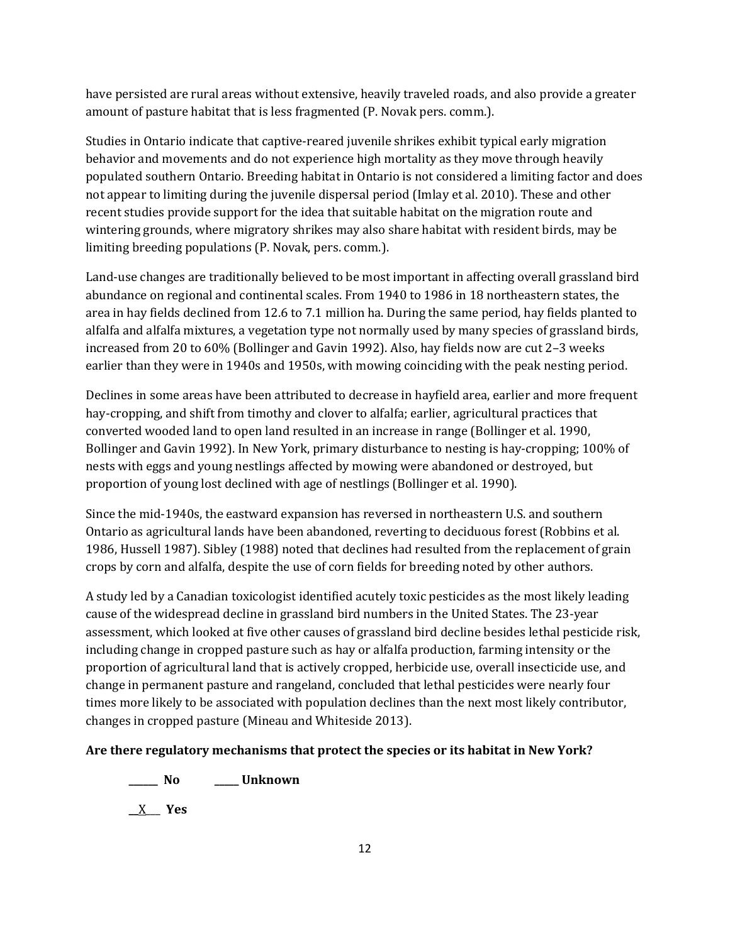have persisted are rural areas without extensive, heavily traveled roads, and also provide a greater amount of pasture habitat that is less fragmented (P. Novak pers. comm.).

Studies in Ontario indicate that captive-reared juvenile shrikes exhibit typical early migration behavior and movements and do not experience high mortality as they move through heavily populated southern Ontario. Breeding habitat in Ontario is not considered a limiting factor and does not appear to limiting during the juvenile dispersal period (Imlay et al. 2010). These and other recent studies provide support for the idea that suitable habitat on the migration route and wintering grounds, where migratory shrikes may also share habitat with resident birds, may be limiting breeding populations (P. Novak, pers. comm.).

Land-use changes are traditionally believed to be most important in affecting overall grassland bird abundance on regional and continental scales. From 1940 to 1986 in 18 northeastern states, the area in hay fields declined from 12.6 to 7.1 million ha. During the same period, hay fields planted to alfalfa and alfalfa mixtures, a vegetation type not normally used by many species of grassland birds, increased from 20 to 60% (Bollinger and Gavin 1992). Also, hay fields now are cut 2–3 weeks earlier than they were in 1940s and 1950s, with mowing coinciding with the peak nesting period.

Declines in some areas have been attributed to decrease in hayfield area, earlier and more frequent hay-cropping, and shift from timothy and clover to alfalfa; earlier, agricultural practices that converted wooded land to open land resulted in an increase in range (Bollinger et al. 1990, Bollinger and Gavin 1992). In New York, primary disturbance to nesting is hay-cropping; 100% of nests with eggs and young nestlings affected by mowing were abandoned or destroyed, but proportion of young lost declined with age of nestlings (Bollinger et al. 1990).

Since the mid-1940s, the eastward expansion has reversed in northeastern U.S. and southern Ontario as agricultural lands have been abandoned, reverting to deciduous forest (Robbins et al. 1986, Hussell 1987). Sibley (1988) noted that declines had resulted from the replacement of grain crops by corn and alfalfa, despite the use of corn fields for breeding noted by other authors.

A study led by a Canadian toxicologist identified acutely toxic pesticides as the most likely leading cause of the widespread decline in grassland bird numbers in the United States. The 23-year assessment, which looked at five other causes of grassland bird decline besides lethal pesticide risk, including change in cropped pasture such as hay or alfalfa production, farming intensity or the proportion of agricultural land that is actively cropped, herbicide use, overall insecticide use, and change in permanent pasture and rangeland, concluded that lethal pesticides were nearly four times more likely to be associated with population declines than the next most likely contributor, changes in cropped pasture (Mineau and Whiteside 2013).

## **Are there regulatory mechanisms that protect the species or its habitat in New York?**

**\_\_\_\_\_\_ No \_\_\_\_\_ Unknown**

**\_\_**X\_\_\_ **Yes**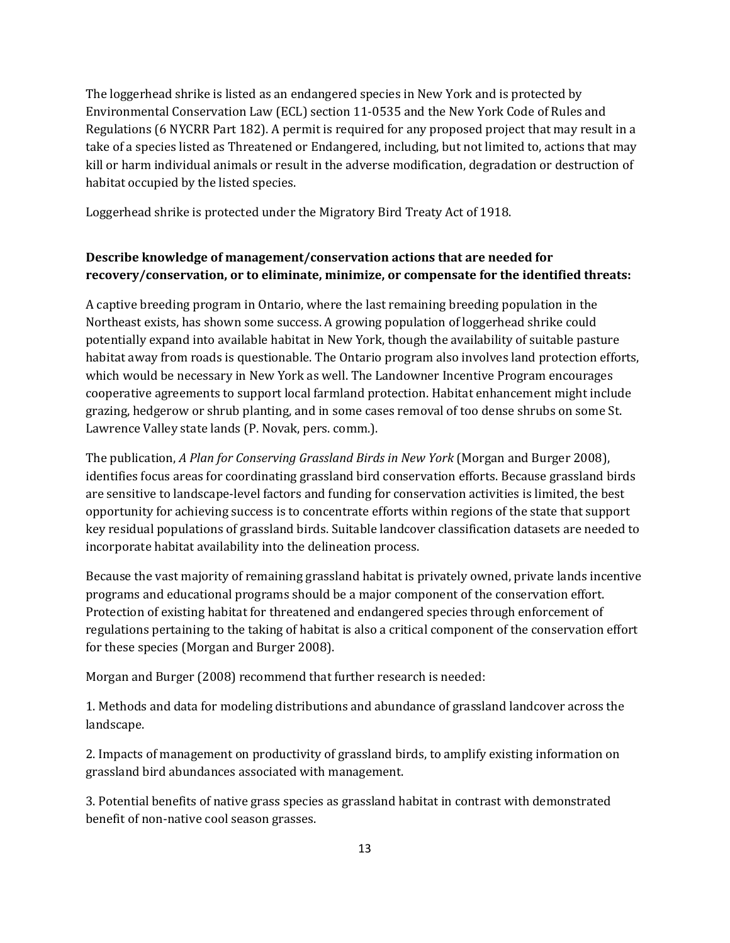The loggerhead shrike is listed as an endangered species in New York and is protected by Environmental Conservation Law (ECL) section 11-0535 and the New York Code of Rules and Regulations (6 NYCRR Part 182). A permit is required for any proposed project that may result in a take of a species listed as Threatened or Endangered, including, but not limited to, actions that may kill or harm individual animals or result in the adverse modification, degradation or destruction of habitat occupied by the listed species.

Loggerhead shrike is protected under the Migratory Bird Treaty Act of 1918.

## **Describe knowledge of management/conservation actions that are needed for recovery/conservation, or to eliminate, minimize, or compensate for the identified threats:**

A captive breeding program in Ontario, where the last remaining breeding population in the Northeast exists, has shown some success. A growing population of loggerhead shrike could potentially expand into available habitat in New York, though the availability of suitable pasture habitat away from roads is questionable. The Ontario program also involves land protection efforts, which would be necessary in New York as well. The Landowner Incentive Program encourages cooperative agreements to support local farmland protection. Habitat enhancement might include grazing, hedgerow or shrub planting, and in some cases removal of too dense shrubs on some St. Lawrence Valley state lands (P. Novak, pers. comm.).

The publication, *A Plan for Conserving Grassland Birds in New York* (Morgan and Burger 2008), identifies focus areas for coordinating grassland bird conservation efforts. Because grassland birds are sensitive to landscape-level factors and funding for conservation activities is limited, the best opportunity for achieving success is to concentrate efforts within regions of the state that support key residual populations of grassland birds. Suitable landcover classification datasets are needed to incorporate habitat availability into the delineation process.

Because the vast majority of remaining grassland habitat is privately owned, private lands incentive programs and educational programs should be a major component of the conservation effort. Protection of existing habitat for threatened and endangered species through enforcement of regulations pertaining to the taking of habitat is also a critical component of the conservation effort for these species (Morgan and Burger 2008).

Morgan and Burger (2008) recommend that further research is needed:

1. Methods and data for modeling distributions and abundance of grassland landcover across the landscape.

2. Impacts of management on productivity of grassland birds, to amplify existing information on grassland bird abundances associated with management.

3. Potential benefits of native grass species as grassland habitat in contrast with demonstrated benefit of non-native cool season grasses.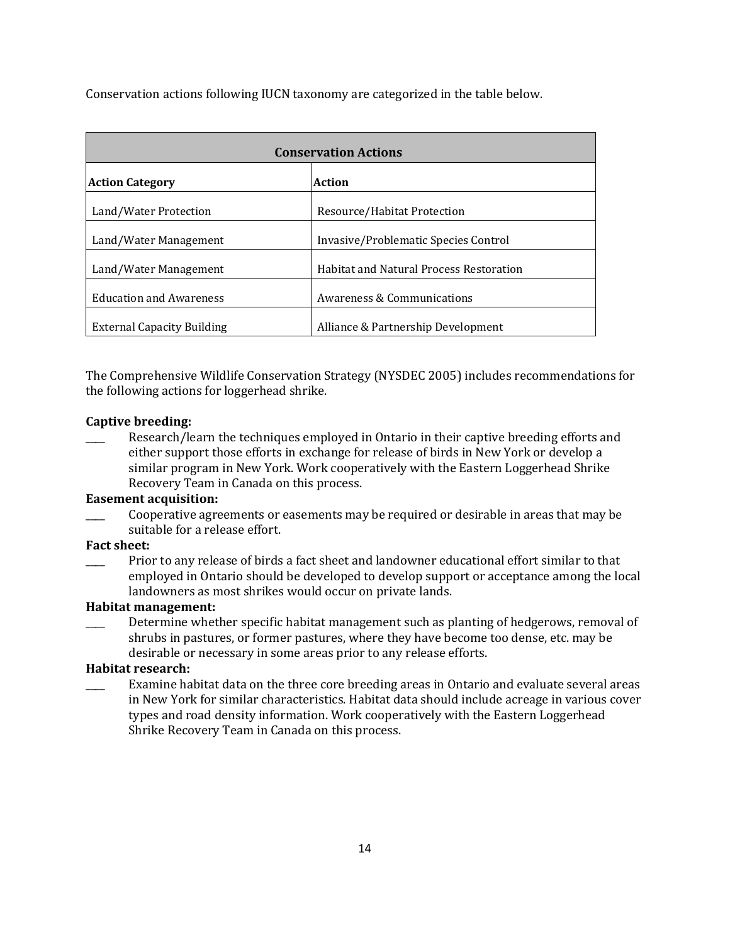Conservation actions following IUCN taxonomy are categorized in the table below.

| <b>Conservation Actions</b>       |                                                |  |
|-----------------------------------|------------------------------------------------|--|
| Action<br><b>Action Category</b>  |                                                |  |
| Land/Water Protection             | Resource/Habitat Protection                    |  |
| Land/Water Management             | Invasive/Problematic Species Control           |  |
| Land/Water Management             | <b>Habitat and Natural Process Restoration</b> |  |
| <b>Education and Awareness</b>    | Awareness & Communications                     |  |
| <b>External Capacity Building</b> | Alliance & Partnership Development             |  |

The Comprehensive Wildlife Conservation Strategy (NYSDEC 2005) includes recommendations for the following actions for loggerhead shrike.

#### **Captive breeding:**

Research/learn the techniques employed in Ontario in their captive breeding efforts and either support those efforts in exchange for release of birds in New York or develop a similar program in New York. Work cooperatively with the Eastern Loggerhead Shrike Recovery Team in Canada on this process.

## **Easement acquisition:**

Cooperative agreements or easements may be required or desirable in areas that may be suitable for a release effort.

#### **Fact sheet:**

Prior to any release of birds a fact sheet and landowner educational effort similar to that employed in Ontario should be developed to develop support or acceptance among the local landowners as most shrikes would occur on private lands.

#### **Habitat management:**

Determine whether specific habitat management such as planting of hedgerows, removal of shrubs in pastures, or former pastures, where they have become too dense, etc. may be desirable or necessary in some areas prior to any release efforts.

# **Habitat research:**

\_\_\_\_ Examine habitat data on the three core breeding areas in Ontario and evaluate several areas in New York for similar characteristics. Habitat data should include acreage in various cover types and road density information. Work cooperatively with the Eastern Loggerhead Shrike Recovery Team in Canada on this process.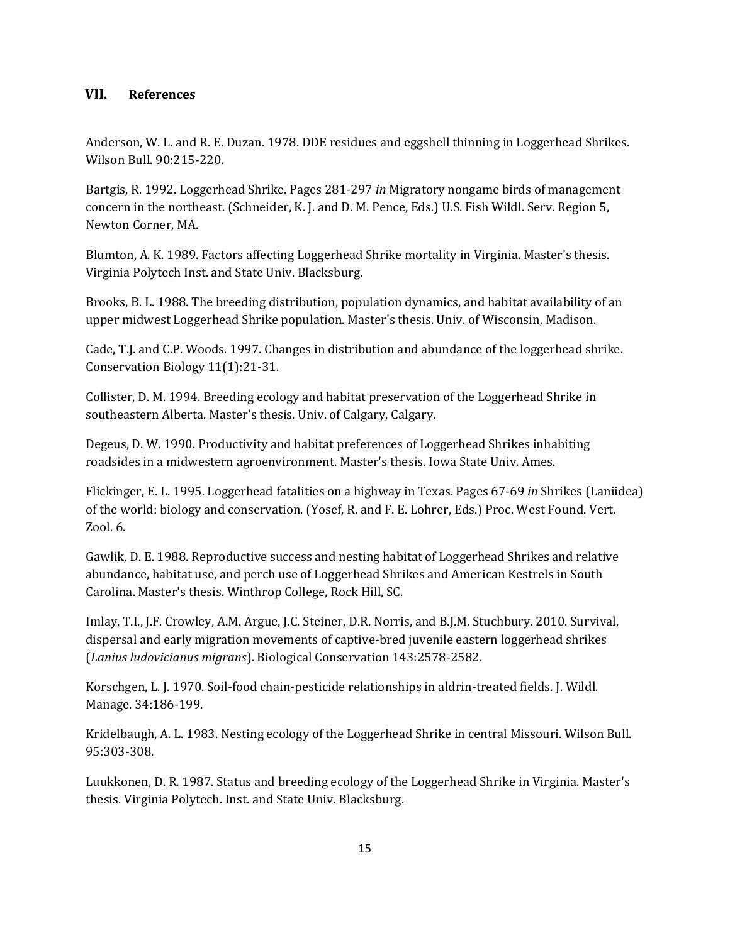## **VII. References**

Anderson, W. L. and R. E. Duzan. 1978. DDE residues and eggshell thinning in Loggerhead Shrikes. Wilson Bull. 90:215-220.

Bartgis, R. 1992. Loggerhead Shrike. Pages 281-297 *in* Migratory nongame birds of management concern in the northeast. (Schneider, K. J. and D. M. Pence, Eds.) U.S. Fish Wildl. Serv. Region 5, Newton Corner, MA.

Blumton, A. K. 1989. Factors affecting Loggerhead Shrike mortality in Virginia. Master's thesis. Virginia Polytech Inst. and State Univ. Blacksburg.

Brooks, B. L. 1988. The breeding distribution, population dynamics, and habitat availability of an upper midwest Loggerhead Shrike population. Master's thesis. Univ. of Wisconsin, Madison.

Cade, T.J. and C.P. Woods. 1997. Changes in distribution and abundance of the loggerhead shrike. Conservation Biology 11(1):21-31.

Collister, D. M. 1994. Breeding ecology and habitat preservation of the Loggerhead Shrike in southeastern Alberta. Master's thesis. Univ. of Calgary, Calgary.

Degeus, D. W. 1990. Productivity and habitat preferences of Loggerhead Shrikes inhabiting roadsides in a midwestern agroenvironment. Master's thesis. Iowa State Univ. Ames.

Flickinger, E. L. 1995. Loggerhead fatalities on a highway in Texas. Pages 67-69 *in* Shrikes (Laniidea) of the world: biology and conservation. (Yosef, R. and F. E. Lohrer, Eds.) Proc. West Found. Vert. Zool. 6.

Gawlik, D. E. 1988. Reproductive success and nesting habitat of Loggerhead Shrikes and relative abundance, habitat use, and perch use of Loggerhead Shrikes and American Kestrels in South Carolina. Master's thesis. Winthrop College, Rock Hill, SC.

Imlay, T.I., J.F. Crowley, A.M. Argue, J.C. Steiner, D.R. Norris, and B.J.M. Stuchbury. 2010. Survival, dispersal and early migration movements of captive-bred juvenile eastern loggerhead shrikes (*Lanius ludovicianus migrans*). Biological Conservation 143:2578-2582.

Korschgen, L. J. 1970. Soil-food chain-pesticide relationships in aldrin-treated fields. J. Wildl. Manage. 34:186-199.

Kridelbaugh, A. L. 1983. Nesting ecology of the Loggerhead Shrike in central Missouri. Wilson Bull. 95:303-308.

Luukkonen, D. R. 1987. Status and breeding ecology of the Loggerhead Shrike in Virginia. Master's thesis. Virginia Polytech. Inst. and State Univ. Blacksburg.